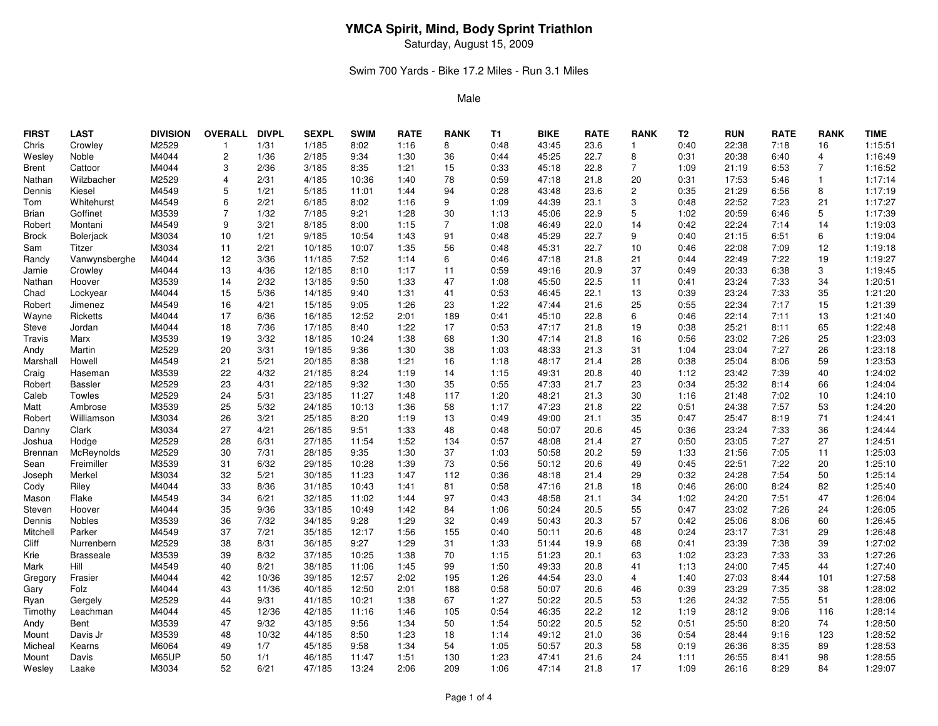Saturday, August 15, 2009

## Swim 700 Yards - Bike 17.2 Miles - Run 3.1 Miles

| <b>FIRST</b>   | <b>LAST</b>      | <b>DIVISION</b> | <b>OVERALL</b> | <b>DIVPL</b> | <b>SEXPL</b> | <b>SWIM</b> | <b>RATE</b> | <b>RANK</b>    | <b>T1</b> | <b>BIKE</b> | <b>RATE</b> | <b>RANK</b>    | T <sub>2</sub> | <b>RUN</b> | <b>RATE</b> | <b>RANK</b>    | <b>TIME</b> |
|----------------|------------------|-----------------|----------------|--------------|--------------|-------------|-------------|----------------|-----------|-------------|-------------|----------------|----------------|------------|-------------|----------------|-------------|
| Chris          | Crowley          | M2529           | $\mathbf{1}$   | 1/31         | 1/185        | 8:02        | 1:16        | 8              | 0:48      | 43:45       | 23.6        | 1              | 0:40           | 22:38      | 7:18        | 16             | 1:15:51     |
| Wesley         | Noble            | M4044           | 2              | 1/36         | 2/185        | 9:34        | 1:30        | 36             | 0:44      | 45:25       | 22.7        | 8              | 0:31           | 20:38      | 6:40        | 4              | 1:16:49     |
| Brent          | Cattoor          | M4044           | 3              | 2/36         | 3/185        | 8:35        | 1:21        | 15             | 0:33      | 45:18       | 22.8        | $\overline{7}$ | 1:09           | 21:19      | 6:53        | $\overline{7}$ | 1:16:52     |
| Nathan         | Wilzbacher       | M2529           | 4              | 2/31         | 4/185        | 10:36       | 1:40        | 78             | 0:59      | 47:18       | 21.8        | 20             | 0:31           | 17:53      | 5:46        | $\overline{1}$ | 1:17:14     |
| Dennis         | Kiesel           | M4549           | 5              | 1/21         | 5/185        | 11:01       | 1:44        | 94             | 0:28      | 43:48       | 23.6        | $\overline{c}$ | 0:35           | 21:29      | 6:56        | 8              | 1:17:19     |
| Tom            | Whitehurst       | M4549           | 6              | 2/21         | 6/185        | 8:02        | 1:16        | 9              | 1:09      | 44:39       | 23.1        | 3              | 0:48           | 22:52      | 7:23        | 21             | 1:17:27     |
| Brian          | Goffinet         | M3539           | $\overline{7}$ | 1/32         | 7/185        | 9:21        | 1:28        | 30             | 1:13      | 45:06       | 22.9        | 5              | 1:02           | 20:59      | 6:46        | 5              | 1:17:39     |
| Robert         | Montani          | M4549           | 9              | 3/21         | 8/185        | 8:00        | 1:15        | $\overline{7}$ | 1:08      | 46:49       | 22.0        | 14             | 0:42           | 22:24      | 7:14        | 14             | 1:19:03     |
| Brock          | <b>Boleriack</b> | M3034           | 10             | 1/21         | 9/185        | 10:54       | 1:43        | 91             | 0:48      | 45:29       | 22.7        | 9              | 0:40           | 21:15      | 6:51        | 6              | 1:19:04     |
| Sam            | Titzer           | M3034           | 11             | 2/21         | 10/185       | 10:07       | 1:35        | 56             | 0:48      | 45:31       | 22.7        | 10             | 0:46           | 22:08      | 7:09        | 12             | 1:19:18     |
| Randy          | Vanwynsberghe    | M4044           | 12             | 3/36         | 11/185       | 7:52        | 1:14        | 6              | 0:46      | 47:18       | 21.8        | 21             | 0:44           | 22:49      | 7:22        | 19             | 1:19:27     |
| Jamie          | Crowley          | M4044           | 13             | 4/36         | 12/185       | 8:10        | 1:17        | 11             | 0:59      | 49:16       | 20.9        | 37             | 0:49           | 20:33      | 6:38        | 3              | 1:19:45     |
| Nathan         | Hoover           | M3539           | 14             | 2/32         | 13/185       | 9:50        | 1:33        | 47             | 1:08      | 45:50       | 22.5        | 11             | 0:41           | 23:24      | 7:33        | 34             | 1:20:51     |
| Chad           | Lockyear         | M4044           | 15             | 5/36         | 14/185       | 9:40        | 1:31        | 41             | 0:53      | 46:45       | 22.1        | 13             | 0:39           | 23:24      | 7:33        | 35             | 1:21:20     |
| Robert         | Jimenez          | M4549           | 16             | 4/21         | 15/185       | 9:05        | 1:26        | 23             | 1:22      | 47:44       | 21.6        | 25             | 0:55           | 22:34      | 7:17        | 15             | 1:21:39     |
| Wayne          | Ricketts         | M4044           | 17             | 6/36         | 16/185       | 12:52       | 2:01        | 189            | 0:41      | 45:10       | 22.8        | 6              | 0:46           | 22:14      | 7:11        | 13             | 1:21:40     |
| Steve          | Jordan           | M4044           | 18             | 7/36         | 17/185       | 8:40        | 1:22        | 17             | 0:53      | 47:17       | 21.8        | 19             | 0:38           | 25:21      | 8:11        | 65             | 1:22:48     |
| Travis         | Marx             | M3539           | 19             | 3/32         | 18/185       | 10:24       | 1:38        | 68             | 1:30      | 47:14       | 21.8        | 16             | 0:56           | 23:02      | 7:26        | 25             | 1:23:03     |
| Andy           | Martin           | M2529           | 20             | 3/31         | 19/185       | 9:36        | 1:30        | 38             | 1:03      | 48:33       | 21.3        | 31             | 1:04           | 23:04      | 7:27        | 26             | 1:23:18     |
| Marshall       | Howell           | M4549           | 21             | 5/21         | 20/185       | 8:38        | 1:21        | 16             | 1:18      | 48:17       | 21.4        | 28             | 0:38           | 25:04      | 8:06        | 59             | 1:23:53     |
| Craig          | Haseman          | M3539           | 22             | 4/32         | 21/185       | 8:24        | 1:19        | 14             | 1:15      | 49:31       | 20.8        | 40             | 1:12           | 23:42      | 7:39        | 40             | 1:24:02     |
| Robert         | <b>Bassler</b>   | M2529           | 23             | 4/31         | 22/185       | 9:32        | 1:30        | 35             | 0:55      | 47:33       | 21.7        | 23             | 0:34           | 25:32      | 8:14        | 66             | 1:24:04     |
| Caleb          | Towles           | M2529           | 24             | 5/31         | 23/185       | 11:27       | 1:48        | 117            | 1:20      | 48:21       | 21.3        | 30             | 1:16           | 21:48      | 7:02        | 10             | 1:24:10     |
| Matt           | Ambrose          | M3539           | 25             | 5/32         | 24/185       | 10:13       | 1:36        | 58             | 1:17      | 47:23       | 21.8        | 22             | 0:51           | 24:38      | 7:57        | 53             | 1:24:20     |
| Robert         | Williamson       | M3034           | 26             | 3/21         | 25/185       | 8:20        | 1:19        | 13             | 0:49      | 49:00       | 21.1        | 35             | 0:47           | 25:47      | 8:19        | 71             | 1:24:41     |
| Danny          | Clark            | M3034           | 27             | 4/21         | 26/185       | 9:51        | 1:33        | 48             | 0:48      | 50:07       | 20.6        | 45             | 0:36           | 23:24      | 7:33        | 36             | 1:24:44     |
| Joshua         | Hodge            | M2529           | 28             | 6/31         | 27/185       | 11:54       | 1:52        | 134            | 0:57      | 48:08       | 21.4        | 27             | 0:50           | 23:05      | 7:27        | 27             | 1:24:51     |
| <b>Brennan</b> | McReynolds       | M2529           | 30             | 7/31         | 28/185       | 9:35        | 1:30        | 37             | 1:03      | 50:58       | 20.2        | 59             | 1:33           | 21:56      | 7:05        | 11             | 1:25:03     |
| Sean           | Freimiller       | M3539           | 31             | 6/32         | 29/185       | 10:28       | 1:39        | 73             | 0:56      | 50:12       | 20.6        | 49             | 0:45           | 22:51      | 7:22        | 20             | 1:25:10     |
| Joseph         | Merkel           | M3034           | 32             | 5/21         | 30/185       | 11:23       | 1:47        | 112            | 0:36      | 48:18       | 21.4        | 29             | 0:32           | 24:28      | 7:54        | 50             | 1:25:14     |
| Cody           | Riley            | M4044           | 33             | 8/36         | 31/185       | 10:43       | 1:41        | 81             | 0:58      | 47:16       | 21.8        | 18             | 0:46           | 26:00      | 8:24        | 82             | 1:25:40     |
| Mason          | Flake            | M4549           | 34             | 6/21         | 32/185       | 11:02       | 1:44        | 97             | 0:43      | 48:58       | 21.1        | 34             | 1:02           | 24:20      | 7:51        | 47             | 1:26:04     |
| Steven         | Hoover           | M4044           | 35             | 9/36         | 33/185       | 10:49       | 1:42        | 84             | 1:06      | 50:24       | 20.5        | 55             | 0:47           | 23:02      | 7:26        | 24             | 1:26:05     |
| Dennis         | Nobles           | M3539           | 36             | 7/32         | 34/185       | 9:28        | 1:29        | 32             | 0:49      | 50:43       | 20.3        | 57             | 0:42           | 25:06      | 8:06        | 60             | 1:26:45     |
| Mitchell       | Parker           | M4549           | 37             | 7/21         | 35/185       | 12:17       | 1:56        | 155            | 0:40      | 50:11       | 20.6        | 48             | 0:24           | 23:17      | 7:31        | 29             | 1:26:48     |
| Cliff          | Nurrenbern       | M2529           | 38             | 8/31         | 36/185       | 9:27        | 1:29        | 31             | 1:33      | 51:44       | 19.9        | 68             | 0:41           | 23:39      | 7:38        | 39             | 1:27:02     |
| Krie           | <b>Brasseale</b> | M3539           | 39             | 8/32         | 37/185       | 10:25       | 1:38        | 70             | 1:15      | 51:23       | 20.1        | 63             | 1:02           | 23:23      | 7:33        | 33             | 1:27:26     |
| Mark           | Hill             | M4549           | 40             | 8/21         | 38/185       | 11:06       | 1:45        | 99             | 1:50      | 49:33       | 20.8        | 41             | 1:13           | 24:00      | 7:45        | 44             | 1:27:40     |
| Gregory        | Frasier          | M4044           | 42             | 10/36        | 39/185       | 12:57       | 2:02        | 195            | 1:26      | 44:54       | 23.0        | 4              | 1:40           | 27:03      | 8:44        | 101            | 1:27:58     |
| Gary           | Folz             | M4044           | 43             | 11/36        | 40/185       | 12:50       | 2:01        | 188            | 0:58      | 50:07       | 20.6        | 46             | 0:39           | 23:29      | 7:35        | 38             | 1:28:02     |
| Ryan           | Gergely          | M2529           | 44             | 9/31         | 41/185       | 10:21       | 1:38        | 67             | 1:27      | 50:22       | 20.5        | 53             | 1:26           | 24:32      | 7:55        | 51             | 1:28:06     |
| Timothy        | Leachman         | M4044           | 45             | 12/36        | 42/185       | 11:16       | 1:46        | 105            | 0:54      | 46:35       | 22.2        | 12             | 1:19           | 28:12      | 9:06        | 116            | 1:28:14     |
| Andy           | Bent             | M3539           | 47             | 9/32         | 43/185       | 9:56        | 1:34        | 50             | 1:54      | 50:22       | 20.5        | 52             | 0:51           | 25:50      | 8:20        | 74             | 1:28:50     |
| Mount          | Davis Jr         | M3539           | 48             | 10/32        | 44/185       | 8:50        | 1:23        | 18             | 1:14      | 49:12       | 21.0        | 36             | 0:54           | 28:44      | 9:16        | 123            | 1:28:52     |
| Micheal        | Kearns           | M6064           | 49             | 1/7          | 45/185       | 9:58        | 1:34        | 54             | 1:05      | 50:57       | 20.3        | 58             | 0:19           | 26:36      | 8:35        | 89             | 1:28:53     |
| Mount          | Davis            | M65UP           | 50             | 1/1          | 46/185       | 11:47       | 1:51        | 130            | 1:23      | 47:41       | 21.6        | 24             | 1:11           | 26:55      | 8:41        | 98             | 1:28:55     |
| Wesley         | Laake            | M3034           | 52             | 6/21         | 47/185       | 13:24       | 2:06        | 209            | 1:06      | 47:14       | 21.8        | 17             | 1:09           | 26:16      | 8:29        | 84             | 1:29:07     |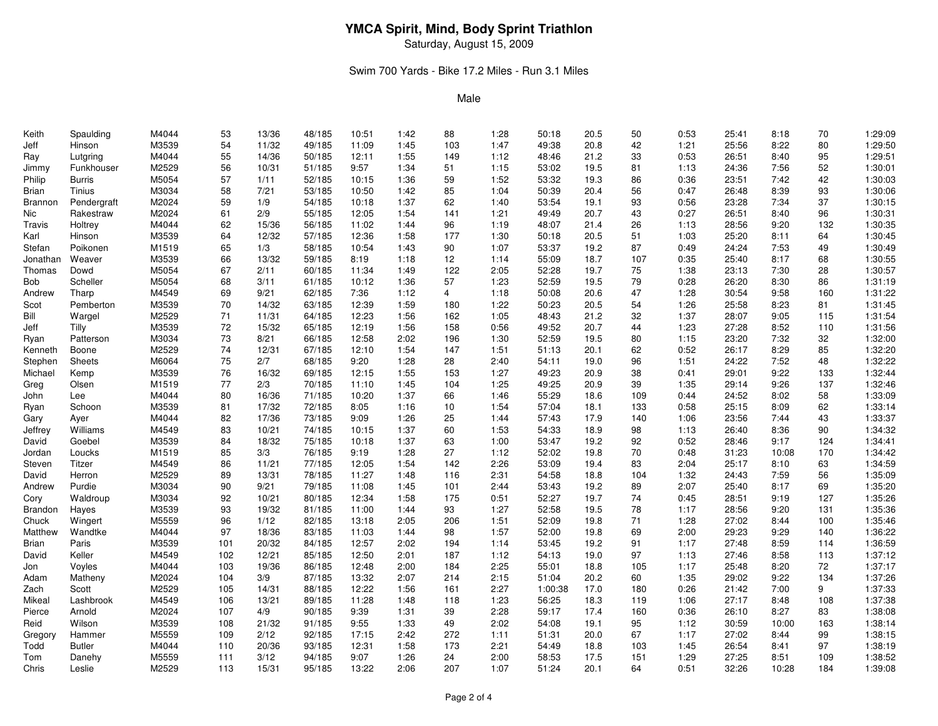Saturday, August 15, 2009

## Swim 700 Yards - Bike 17.2 Miles - Run 3.1 Miles

| Keith    | Spaulding     | M4044 | 53  | 13/36 | 48/185 | 10:51 | 1:42 | 88  | 1:28 | 50:18   | 20.5 | 50  | 0:53 | 25:41 | 8:18  | 70  | 1:29:09 |
|----------|---------------|-------|-----|-------|--------|-------|------|-----|------|---------|------|-----|------|-------|-------|-----|---------|
| Jeff     | Hinson        | M3539 | 54  | 11/32 | 49/185 | 11:09 | 1:45 | 103 | 1:47 | 49:38   | 20.8 | 42  | 1:21 | 25:56 | 8:22  | 80  | 1:29:50 |
| Ray      | Lutgring      | M4044 | 55  | 14/36 | 50/185 | 12:11 | 1:55 | 149 | 1:12 | 48:46   | 21.2 | 33  | 0:53 | 26:51 | 8:40  | 95  | 1:29:51 |
| Jimmy    | Funkhouser    | M2529 | 56  | 10/31 | 51/185 | 9:57  | 1:34 | 51  | 1:15 | 53:02   | 19.5 | 81  | 1:13 | 24:36 | 7:56  | 52  | 1:30:01 |
| Philip   | <b>Burris</b> | M5054 | 57  | 1/11  | 52/185 | 10:15 | 1:36 | 59  | 1:52 | 53:32   | 19.3 | 86  | 0:36 | 23:51 | 7:42  | 42  | 1:30:03 |
| Brian    | Tinius        | M3034 | 58  | 7/21  | 53/185 | 10:50 | 1:42 | 85  | 1:04 | 50:39   | 20.4 | 56  | 0:47 | 26:48 | 8:39  | 93  | 1:30:06 |
| Brannon  | Pendergraft   | M2024 | 59  | 1/9   | 54/185 | 10:18 | 1:37 | 62  | 1:40 | 53:54   | 19.1 | 93  | 0:56 | 23:28 | 7:34  | 37  | 1:30:15 |
| Nic      | Rakestraw     | M2024 | 61  | 2/9   | 55/185 | 12:05 | 1:54 | 141 | 1:21 | 49:49   | 20.7 | 43  | 0:27 | 26:51 | 8:40  | 96  | 1:30:31 |
| Travis   | Holtrey       | M4044 | 62  | 15/36 | 56/185 | 11:02 | 1:44 | 96  | 1:19 | 48:07   | 21.4 | 26  | 1:13 | 28:56 | 9:20  | 132 | 1:30:35 |
| Karl     | Hinson        | M3539 | 64  | 12/32 | 57/185 | 12:36 | 1:58 | 177 | 1:30 | 50:18   | 20.5 | 51  | 1:03 | 25:20 | 8:11  | 64  | 1:30:45 |
| Stefan   | Poikonen      | M1519 | 65  | 1/3   | 58/185 | 10:54 | 1:43 | 90  | 1:07 | 53:37   | 19.2 | 87  | 0:49 | 24:24 | 7:53  | 49  | 1:30:49 |
| Jonathan | Weaver        | M3539 | 66  | 13/32 | 59/185 | 8:19  | 1:18 | 12  | 1:14 | 55:09   | 18.7 | 107 | 0:35 | 25:40 | 8:17  | 68  | 1:30:55 |
| Thomas   | Dowd          | M5054 | 67  | 2/11  | 60/185 | 11:34 | 1:49 | 122 | 2:05 | 52:28   | 19.7 | 75  | 1:38 | 23:13 | 7:30  | 28  | 1:30:57 |
| Bob      | Scheller      | M5054 | 68  | 3/11  | 61/185 | 10:12 | 1:36 | 57  | 1:23 | 52:59   | 19.5 | 79  | 0:28 | 26:20 | 8:30  | 86  | 1:31:19 |
| Andrew   | Tharp         | M4549 | 69  | 9/21  | 62/185 | 7:36  | 1:12 | 4   | 1:18 | 50:08   | 20.6 | 47  | 1:28 | 30:54 | 9:58  | 160 | 1:31:22 |
| Scot     | Pemberton     | M3539 | 70  | 14/32 | 63/185 | 12:39 | 1:59 | 180 | 1:22 | 50:23   | 20.5 | 54  | 1:26 | 25:58 | 8:23  | 81  | 1:31:45 |
| Bill     | Wargel        | M2529 | 71  | 11/31 | 64/185 | 12:23 | 1:56 | 162 | 1:05 | 48:43   | 21.2 | 32  | 1:37 | 28:07 | 9:05  | 115 | 1:31:54 |
| Jeff     | Tilly         | M3539 | 72  | 15/32 | 65/185 | 12:19 | 1:56 | 158 | 0:56 | 49:52   | 20.7 | 44  | 1:23 | 27:28 | 8:52  | 110 | 1:31:56 |
| Ryan     | Patterson     | M3034 | 73  | 8/21  | 66/185 | 12:58 | 2:02 | 196 | 1:30 | 52:59   | 19.5 | 80  | 1:15 | 23:20 | 7:32  | 32  | 1:32:00 |
| Kenneth  | Boone         | M2529 | 74  | 12/31 | 67/185 | 12:10 | 1:54 | 147 | 1:51 | 51:13   | 20.1 | 62  | 0:52 | 26:17 | 8:29  | 85  | 1:32:20 |
| Stephen  | Sheets        | M6064 | 75  | 2/7   | 68/185 | 9:20  | 1:28 | 28  | 2:40 | 54:11   | 19.0 | 96  | 1:51 | 24:22 | 7:52  | 48  | 1:32:22 |
| Michael  | Kemp          | M3539 | 76  | 16/32 | 69/185 | 12:15 | 1:55 | 153 | 1:27 | 49:23   | 20.9 | 38  | 0:41 | 29:01 | 9:22  | 133 | 1:32:44 |
| Greg     | Olsen         | M1519 | 77  | 2/3   | 70/185 | 11:10 | 1:45 | 104 | 1:25 | 49:25   | 20.9 | 39  | 1:35 | 29:14 | 9:26  | 137 | 1:32:46 |
| John     | Lee           | M4044 | 80  | 16/36 | 71/185 | 10:20 | 1:37 | 66  | 1:46 | 55:29   | 18.6 | 109 | 0:44 | 24:52 | 8:02  | 58  | 1:33:09 |
| Ryan     | Schoon        | M3539 | 81  | 17/32 | 72/185 | 8:05  | 1:16 | 10  | 1:54 | 57:04   | 18.1 | 133 | 0:58 | 25:15 | 8:09  | 62  | 1:33:14 |
| Gary     | Ayer          | M4044 | 82  | 17/36 | 73/185 | 9:09  | 1:26 | 25  | 1:44 | 57:43   | 17.9 | 140 | 1:06 | 23:56 | 7:44  | 43  | 1:33:37 |
| Jeffrey  | Williams      | M4549 | 83  | 10/21 | 74/185 | 10:15 | 1:37 | 60  | 1:53 | 54:33   | 18.9 | 98  | 1:13 | 26:40 | 8:36  | 90  | 1:34:32 |
| David    | Goebel        | M3539 | 84  | 18/32 | 75/185 | 10:18 | 1:37 | 63  | 1:00 | 53:47   | 19.2 | 92  | 0:52 | 28:46 | 9:17  | 124 | 1:34:41 |
| Jordan   | Loucks        | M1519 | 85  | 3/3   | 76/185 | 9:19  | 1:28 | 27  | 1:12 | 52:02   | 19.8 | 70  | 0:48 | 31:23 | 10:08 | 170 | 1:34:42 |
| Steven   | Titzer        | M4549 | 86  | 11/21 | 77/185 | 12:05 | 1:54 | 142 | 2:26 | 53:09   | 19.4 | 83  | 2:04 | 25:17 | 8:10  | 63  | 1:34:59 |
| David    | Herron        | M2529 | 89  | 13/31 | 78/185 | 11:27 | 1:48 | 116 | 2:31 | 54:58   | 18.8 | 104 | 1:32 | 24:43 | 7:59  | 56  | 1:35:09 |
| Andrew   | Purdie        | M3034 | 90  | 9/21  | 79/185 | 11:08 | 1:45 | 101 | 2:44 | 53:43   | 19.2 | 89  | 2:07 | 25:40 | 8:17  | 69  | 1:35:20 |
| Cory     | Waldroup      | M3034 | 92  | 10/21 | 80/185 | 12:34 | 1:58 | 175 | 0:51 | 52:27   | 19.7 | 74  | 0:45 | 28:51 | 9:19  | 127 | 1:35:26 |
| Brandon  | Hayes         | M3539 | 93  | 19/32 | 81/185 | 11:00 | 1:44 | 93  | 1:27 | 52:58   | 19.5 | 78  | 1:17 | 28:56 | 9:20  | 131 | 1:35:36 |
| Chuck    | Wingert       | M5559 | 96  | 1/12  | 82/185 | 13:18 | 2:05 | 206 | 1:51 | 52:09   | 19.8 | 71  | 1:28 | 27:02 | 8:44  | 100 | 1:35:46 |
| Matthew  | Wandtke       | M4044 | 97  | 18/36 | 83/185 | 11:03 | 1:44 | 98  | 1:57 | 52:00   | 19.8 | 69  | 2:00 | 29:23 | 9:29  | 140 | 1:36:22 |
| Brian    | Paris         | M3539 | 101 | 20/32 | 84/185 | 12:57 | 2:02 | 194 | 1:14 | 53:45   | 19.2 | 91  | 1:17 | 27:48 | 8:59  | 114 | 1:36:59 |
| David    | Keller        | M4549 | 102 | 12/21 | 85/185 | 12:50 | 2:01 | 187 | 1:12 | 54:13   | 19.0 | 97  | 1:13 | 27:46 | 8:58  | 113 | 1:37:12 |
| Jon      | Voyles        | M4044 | 103 | 19/36 | 86/185 | 12:48 | 2:00 | 184 | 2:25 | 55:01   | 18.8 | 105 | 1:17 | 25:48 | 8:20  | 72  | 1:37:17 |
| Adam     | Matheny       | M2024 | 104 | 3/9   | 87/185 | 13:32 | 2:07 | 214 | 2:15 | 51:04   | 20.2 | 60  | 1:35 | 29:02 | 9:22  | 134 | 1:37:26 |
| Zach     | Scott         | M2529 | 105 | 14/31 | 88/185 | 12:22 | 1:56 | 161 | 2:27 | 1:00:38 | 17.0 | 180 | 0:26 | 21:42 | 7:00  | 9   | 1:37:33 |
| Mikeal   | Lashbrook     | M4549 | 106 | 13/21 | 89/185 | 11:28 | 1:48 | 118 | 1:23 | 56:25   | 18.3 | 119 | 1:06 | 27:17 | 8:48  | 108 | 1:37:38 |
| Pierce   | Arnold        | M2024 | 107 | 4/9   | 90/185 | 9:39  | 1:31 | 39  | 2:28 | 59:17   | 17.4 | 160 | 0:36 | 26:10 | 8:27  | 83  | 1:38:08 |
| Reid     | Wilson        | M3539 | 108 | 21/32 | 91/185 | 9:55  | 1:33 | 49  | 2:02 | 54:08   | 19.1 | 95  | 1:12 | 30:59 | 10:00 | 163 | 1:38:14 |
| Gregory  | Hammer        | M5559 | 109 | 2/12  | 92/185 | 17:15 | 2:42 | 272 | 1:11 | 51:31   | 20.0 | 67  | 1:17 | 27:02 | 8:44  | 99  | 1:38:15 |
| Todd     | <b>Butler</b> | M4044 | 110 | 20/36 | 93/185 | 12:31 | 1:58 | 173 | 2:21 | 54:49   | 18.8 | 103 | 1:45 | 26:54 | 8:41  | 97  | 1:38:19 |
| Tom      | Danehy        | M5559 | 111 | 3/12  | 94/185 | 9:07  | 1:26 | 24  | 2:00 | 58:53   | 17.5 | 151 | 1:29 | 27:25 | 8:51  | 109 | 1:38:52 |
| Chris    | Leslie        | M2529 | 113 | 15/31 | 95/185 | 13:22 | 2:06 | 207 | 1:07 | 51:24   | 20.1 | 64  | 0:51 | 32:26 | 10:28 | 184 | 1:39:08 |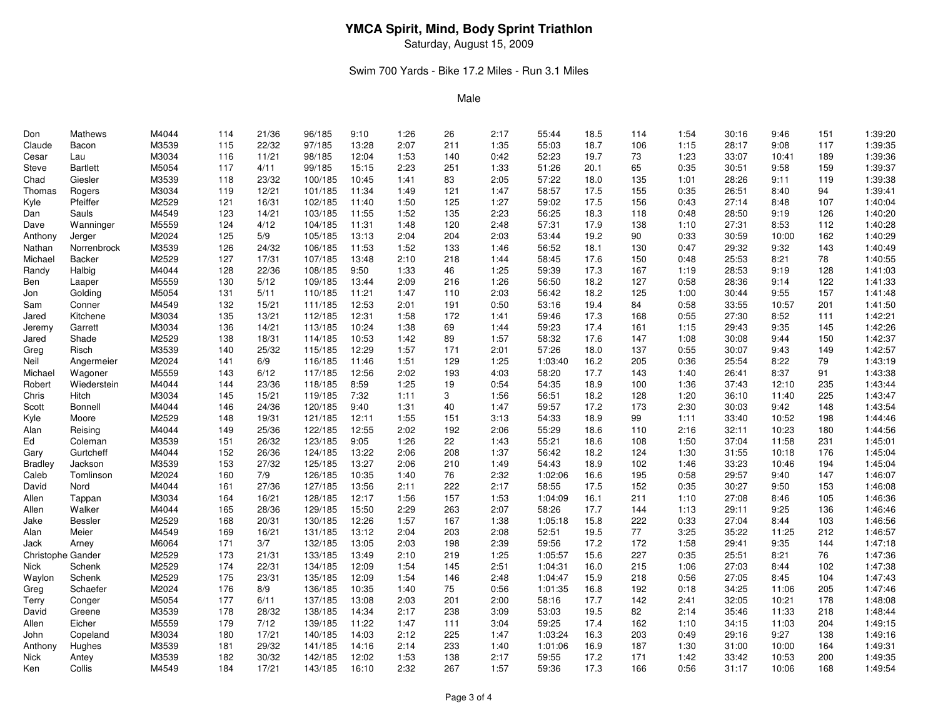Saturday, August 15, 2009

## Swim 700 Yards - Bike 17.2 Miles - Run 3.1 Miles

| Don                      | <b>Mathews</b>  | M4044 | 114 | 21/36 | 96/185  | 9:10  | 1:26 | 26  | 2:17 | 55:44   | 18.5 | 114 | 1:54 | 30:16 | 9:46  | 151 | 1:39:20 |
|--------------------------|-----------------|-------|-----|-------|---------|-------|------|-----|------|---------|------|-----|------|-------|-------|-----|---------|
| Claude                   | Bacon           | M3539 | 115 | 22/32 | 97/185  | 13:28 | 2:07 | 211 | 1:35 | 55:03   | 18.7 | 106 | 1:15 | 28:17 | 9:08  | 117 | 1:39:35 |
| Cesar                    | Lau             | M3034 | 116 | 11/21 | 98/185  | 12:04 | 1:53 | 140 | 0:42 | 52:23   | 19.7 | 73  | 1:23 | 33:07 | 10:41 | 189 | 1:39:36 |
| Steve                    | <b>Bartlett</b> | M5054 | 117 | 4/11  | 99/185  | 15:15 | 2:23 | 251 | 1:33 | 51:26   | 20.1 | 65  | 0:35 | 30:51 | 9:58  | 159 | 1:39:37 |
| Chad                     | Giesler         | M3539 | 118 | 23/32 | 100/185 | 10:45 | 1:41 | 83  | 2:05 | 57:22   | 18.0 | 135 | 1:01 | 28:26 | 9:11  | 119 | 1:39:38 |
| Thomas                   | Rogers          | M3034 | 119 | 12/21 | 101/185 | 11:34 | 1:49 | 121 | 1:47 | 58:57   | 17.5 | 155 | 0:35 | 26:51 | 8:40  | 94  | 1:39:41 |
| Kyle                     | Pfeiffer        | M2529 | 121 | 16/31 | 102/185 | 11:40 | 1:50 | 125 | 1:27 | 59:02   | 17.5 | 156 | 0:43 | 27:14 | 8:48  | 107 | 1:40:04 |
| Dan                      | Sauls           | M4549 | 123 | 14/21 | 103/185 | 11:55 | 1:52 | 135 | 2:23 | 56:25   | 18.3 | 118 | 0:48 | 28:50 | 9:19  | 126 | 1:40:20 |
| Dave                     | Wanninger       | M5559 | 124 | 4/12  | 104/185 | 11:31 | 1:48 | 120 | 2:48 | 57:31   | 17.9 | 138 | 1:10 | 27:31 | 8:53  | 112 | 1:40:28 |
| Anthony                  | Jerger          | M2024 | 125 | 5/9   | 105/185 | 13:13 | 2:04 | 204 | 2:03 | 53:44   | 19.2 | 90  | 0:33 | 30:59 | 10:00 | 162 | 1:40:29 |
| Nathan                   | Norrenbrock     | M3539 | 126 | 24/32 | 106/185 | 11:53 | 1:52 | 133 | 1:46 | 56:52   | 18.1 | 130 | 0:47 | 29:32 | 9:32  | 143 | 1:40:49 |
| Michael                  | <b>Backer</b>   | M2529 | 127 | 17/31 | 107/185 | 13:48 | 2:10 | 218 | 1:44 | 58:45   | 17.6 | 150 | 0:48 | 25:53 | 8:21  | 78  | 1:40:55 |
| Randy                    | Halbig          | M4044 | 128 | 22/36 | 108/185 | 9:50  | 1:33 | 46  | 1:25 | 59:39   | 17.3 | 167 | 1:19 | 28:53 | 9:19  | 128 | 1:41:03 |
| Ben                      | Laaper          | M5559 | 130 | 5/12  | 109/185 | 13:44 | 2:09 | 216 | 1:26 | 56:50   | 18.2 | 127 | 0:58 | 28:36 | 9:14  | 122 | 1:41:33 |
| Jon                      | Golding         | M5054 | 131 | 5/11  | 110/185 | 11:21 | 1:47 | 110 | 2:03 | 56:42   | 18.2 | 125 | 1:00 | 30:44 | 9:55  | 157 | 1:41:48 |
| Sam                      | Conner          | M4549 | 132 | 15/21 | 111/185 | 12:53 | 2:01 | 191 | 0:50 | 53:16   | 19.4 | 84  | 0:58 | 33:55 | 10:57 | 201 | 1:41:50 |
| Jared                    | Kitchene        | M3034 | 135 | 13/21 | 112/185 | 12:31 | 1:58 | 172 | 1:41 | 59:46   | 17.3 | 168 | 0:55 | 27:30 | 8:52  | 111 | 1:42:21 |
| Jeremy                   | Garrett         | M3034 | 136 | 14/21 | 113/185 | 10:24 | 1:38 | 69  | 1:44 | 59:23   | 17.4 | 161 | 1:15 | 29:43 | 9:35  | 145 | 1:42:26 |
| Jared                    | Shade           | M2529 | 138 | 18/31 | 114/185 | 10:53 | 1:42 | 89  | 1:57 | 58:32   | 17.6 | 147 | 1:08 | 30:08 | 9:44  | 150 | 1:42:37 |
| Greg                     | Risch           | M3539 | 140 | 25/32 | 115/185 | 12:29 | 1:57 | 171 | 2:01 | 57:26   | 18.0 | 137 | 0:55 | 30:07 | 9:43  | 149 | 1:42:57 |
| Neil                     | Angermeier      | M2024 | 141 | 6/9   | 116/185 | 11:46 | 1:51 | 129 | 1:25 | 1:03:40 | 16.2 | 205 | 0:36 | 25:54 | 8:22  | 79  | 1:43:19 |
| Michael                  | Wagoner         | M5559 | 143 | 6/12  | 117/185 | 12:56 | 2:02 | 193 | 4:03 | 58:20   | 17.7 | 143 | 1:40 | 26:41 | 8:37  | 91  | 1:43:38 |
| Robert                   | Wiederstein     | M4044 | 144 | 23/36 | 118/185 | 8:59  | 1:25 | 19  | 0:54 | 54:35   | 18.9 | 100 | 1:36 | 37:43 | 12:10 | 235 | 1:43:44 |
| Chris                    | <b>Hitch</b>    | M3034 | 145 | 15/21 | 119/185 | 7:32  | 1:11 | 3   | 1:56 | 56:51   | 18.2 | 128 | 1:20 | 36:10 | 11:40 | 225 | 1:43:47 |
| Scott                    | <b>Bonnell</b>  | M4044 | 146 | 24/36 | 120/185 | 9:40  | 1:31 | 40  | 1:47 | 59:57   | 17.2 | 173 | 2:30 | 30:03 | 9:42  | 148 | 1:43:54 |
| Kyle                     | Moore           | M2529 | 148 | 19/31 | 121/185 | 12:11 | 1:55 | 151 | 3:13 | 54:33   | 18.9 | 99  | 1:11 | 33:40 | 10:52 | 198 | 1:44:46 |
| Alan                     | Reising         | M4044 | 149 | 25/36 | 122/185 | 12:55 | 2:02 | 192 | 2:06 | 55:29   | 18.6 | 110 | 2:16 | 32:11 | 10:23 | 180 | 1:44:56 |
| Ed                       | Coleman         | M3539 | 151 | 26/32 | 123/185 | 9:05  | 1:26 | 22  | 1:43 | 55:21   | 18.6 | 108 | 1:50 | 37:04 | 11:58 | 231 | 1:45:01 |
| Gary                     | Gurtcheff       | M4044 | 152 | 26/36 | 124/185 | 13:22 | 2:06 | 208 | 1:37 | 56:42   | 18.2 | 124 | 1:30 | 31:55 | 10:18 | 176 | 1:45:04 |
| <b>Bradley</b>           | Jackson         | M3539 | 153 | 27/32 | 125/185 | 13:27 | 2:06 | 210 | 1:49 | 54:43   | 18.9 | 102 | 1:46 | 33:23 | 10:46 | 194 | 1:45:04 |
| Caleb                    | Tomlinson       | M2024 | 160 | 7/9   | 126/185 | 10:35 | 1:40 | 76  | 2:32 | 1:02:06 | 16.6 | 195 | 0:58 | 29:57 | 9:40  | 147 | 1:46:07 |
| David                    | Nord            | M4044 | 161 | 27/36 | 127/185 | 13:56 | 2:11 | 222 | 2:17 | 58:55   | 17.5 | 152 | 0:35 | 30:27 | 9:50  | 153 | 1:46:08 |
| Allen                    | Tappan          | M3034 | 164 | 16/21 | 128/185 | 12:17 | 1:56 | 157 | 1:53 | 1:04:09 | 16.1 | 211 | 1:10 | 27:08 | 8:46  | 105 | 1:46:36 |
| Allen                    | Walker          | M4044 | 165 | 28/36 | 129/185 | 15:50 | 2:29 | 263 | 2:07 | 58:26   | 17.7 | 144 | 1:13 | 29:11 | 9:25  | 136 | 1:46:46 |
| Jake                     | <b>Bessler</b>  | M2529 | 168 | 20/31 | 130/185 | 12:26 | 1:57 | 167 | 1:38 | 1:05:18 | 15.8 | 222 | 0:33 | 27:04 | 8:44  | 103 | 1:46:56 |
| Alan                     | Meier           | M4549 | 169 | 16/21 | 131/185 | 13:12 | 2:04 | 203 | 2:08 | 52:51   | 19.5 | 77  | 3:25 | 35:22 | 11:25 | 212 | 1:46:57 |
| Jack                     | Arney           | M6064 | 171 | 3/7   | 132/185 | 13:05 | 2:03 | 198 | 2:39 | 59:56   | 17.2 | 172 | 1:58 | 29:41 | 9:35  | 144 | 1:47:18 |
| <b>Christophe Gander</b> |                 | M2529 | 173 | 21/31 | 133/185 | 13:49 | 2:10 | 219 | 1:25 | 1:05:57 | 15.6 | 227 | 0:35 | 25:51 | 8:21  | 76  | 1:47:36 |
| Nick                     | Schenk          | M2529 | 174 | 22/31 | 134/185 | 12:09 | 1:54 | 145 | 2:51 | 1:04:31 | 16.0 | 215 | 1:06 | 27:03 | 8:44  | 102 | 1:47:38 |
| Waylon                   | Schenk          | M2529 | 175 | 23/31 | 135/185 | 12:09 | 1:54 | 146 | 2:48 | 1:04:47 | 15.9 | 218 | 0:56 | 27:05 | 8:45  | 104 | 1:47:43 |
| Greg                     | Schaefer        | M2024 | 176 | 8/9   | 136/185 | 10:35 | 1:40 | 75  | 0:56 | 1:01:35 | 16.8 | 192 | 0:18 | 34:25 | 11:06 | 205 | 1:47:46 |
| Terry                    | Conger          | M5054 | 177 | 6/11  | 137/185 | 13:08 | 2:03 | 201 | 2:00 | 58:16   | 17.7 | 142 | 2:41 | 32:05 | 10:21 | 178 | 1:48:08 |
| David                    | Greene          | M3539 | 178 | 28/32 | 138/185 | 14:34 | 2:17 | 238 | 3:09 | 53:03   | 19.5 | 82  | 2:14 | 35:46 | 11:33 | 218 | 1:48:44 |
| Allen                    | Eicher          | M5559 | 179 | 7/12  | 139/185 | 11:22 | 1:47 | 111 | 3:04 | 59:25   | 17.4 | 162 | 1:10 | 34:15 | 11:03 | 204 | 1:49:15 |
| John                     | Copeland        | M3034 | 180 | 17/21 | 140/185 | 14:03 | 2:12 | 225 | 1:47 | 1:03:24 | 16.3 | 203 | 0:49 | 29:16 | 9:27  | 138 | 1:49:16 |
| Anthony                  | Hughes          | M3539 | 181 | 29/32 | 141/185 | 14:16 | 2:14 | 233 | 1:40 | 1:01:06 | 16.9 | 187 | 1:30 | 31:00 | 10:00 | 164 | 1:49:31 |
| Nick                     | Antey           | M3539 | 182 | 30/32 | 142/185 | 12:02 | 1:53 | 138 | 2:17 | 59:55   | 17.2 | 171 | 1:42 | 33:42 | 10:53 | 200 | 1:49:35 |
| Ken                      | Collis          | M4549 | 184 | 17/21 | 143/185 | 16:10 | 2:32 | 267 | 1:57 | 59:36   | 17.3 | 166 | 0:56 | 31:17 | 10:06 | 168 | 1:49:54 |